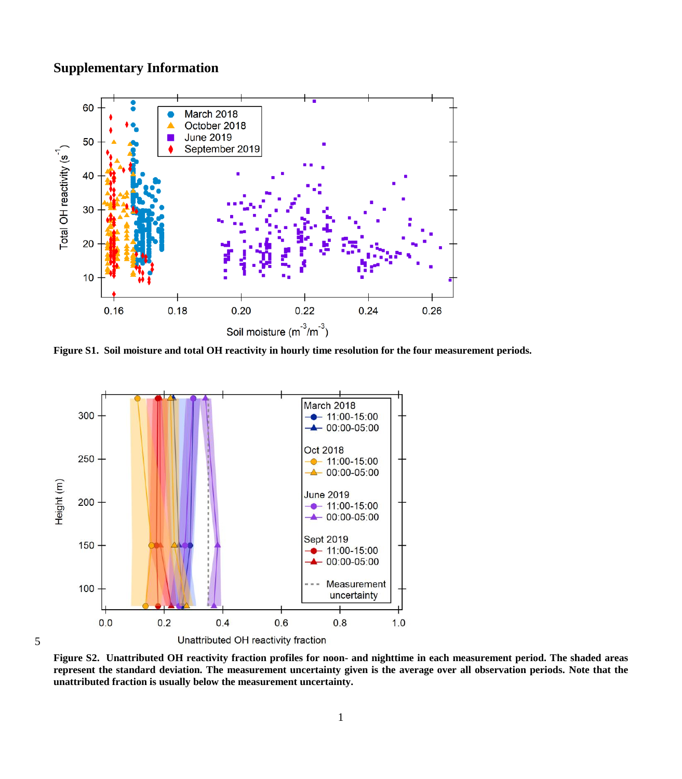## **Supplementary Information**

5



**Figure S1. Soil moisture and total OH reactivity in hourly time resolution for the four measurement periods.**



**Figure S2. Unattributed OH reactivity fraction profiles for noon- and nighttime in each measurement period. The shaded areas represent the standard deviation. The measurement uncertainty given is the average over all observation periods. Note that the unattributed fraction is usually below the measurement uncertainty.**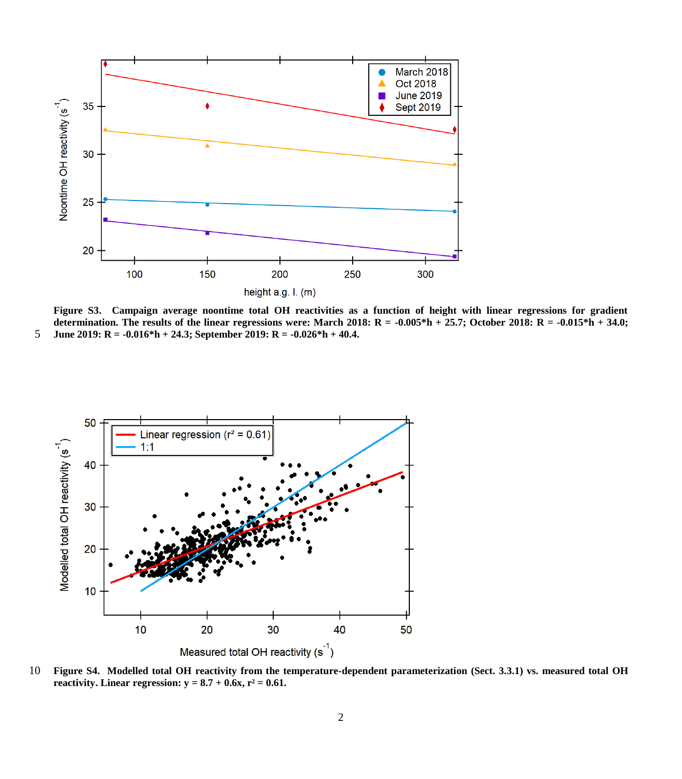

**Figure S3. Campaign average noontime total OH reactivities as a function of height with linear regressions for gradient determination. The results of the linear regressions were: March 2018: R = -0.005\*h + 25.7; October 2018: R = -0.015\*h + 34.0;**  5 **June 2019: R = -0.016\*h + 24.3; September 2019: R = -0.026\*h + 40.4.**



10 **Figure S4. Modelled total OH reactivity from the temperature-dependent parameterization (Sect. 3.3.1) vs. measured total OH reactivity.** Linear regression:  $y = 8.7 + 0.6x$ ,  $r^2 = 0.61$ .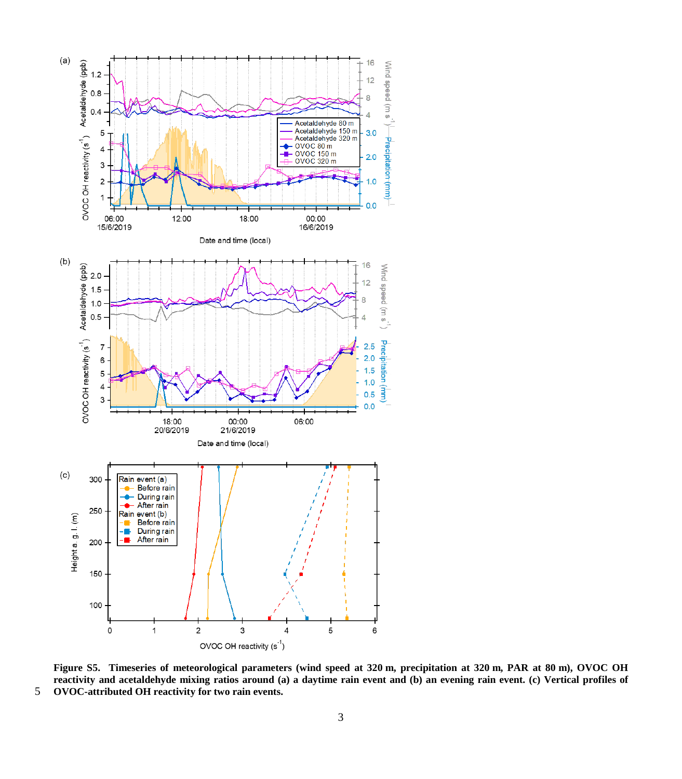

**Figure S5. Timeseries of meteorological parameters (wind speed at 320 m, precipitation at 320 m, PAR at 80 m), OVOC OH reactivity and acetaldehyde mixing ratios around (a) a daytime rain event and (b) an evening rain event. (c) Vertical profiles of**  5 **OVOC-attributed OH reactivity for two rain events.**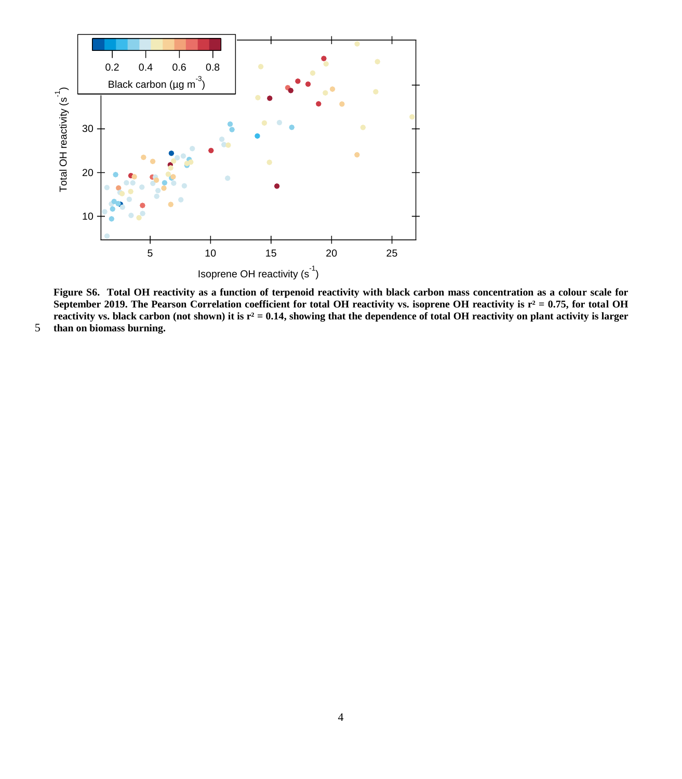

**Figure S6. Total OH reactivity as a function of terpenoid reactivity with black carbon mass concentration as a colour scale for**  September 2019. The Pearson Correlation coefficient for total OH reactivity vs. isoprene OH reactivity is  $r^2 = 0.75$ , for total OH **reactivity vs. black carbon (not shown) it is r² = 0.14, showing that the dependence of total OH reactivity on plant activity is larger** 

5 **than on biomass burning.**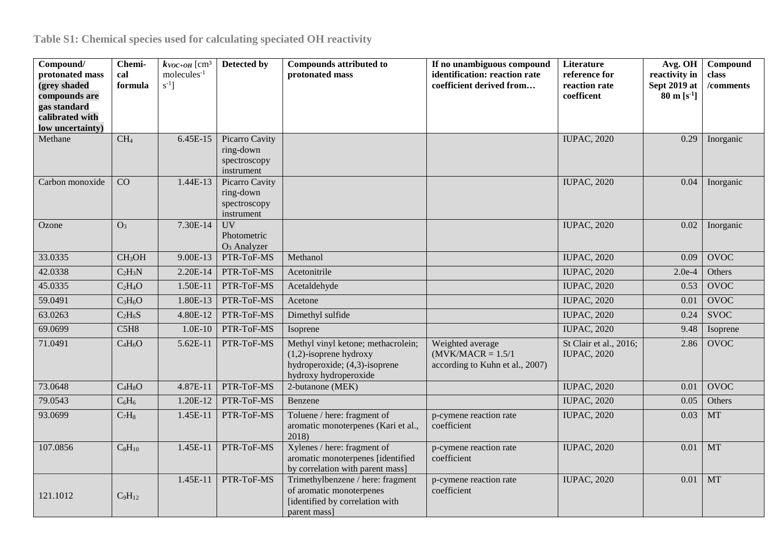| Compound/<br>protonated mass<br>(grey shaded<br>compounds are<br>gas standard<br>calibrated with<br>low uncertainty) | Chemi-<br>cal<br>formula | $k_{VOC+OH}$ [cm <sup>3</sup><br>$molecules-1$<br>$s^{-1}$ ] | Detected by                                               | <b>Compounds attributed to</b><br>protonated mass                                                                         | If no unambiguous compound<br>identification: reaction rate<br>coefficient derived from | Literature<br>reference for<br>reaction rate<br>coefficent | Avg. OH<br>reactivity in<br>Sept 2019 at<br>$80 \text{ m} \text{ [s}^{-1}]$ | Compound<br>class<br>/comments |
|----------------------------------------------------------------------------------------------------------------------|--------------------------|--------------------------------------------------------------|-----------------------------------------------------------|---------------------------------------------------------------------------------------------------------------------------|-----------------------------------------------------------------------------------------|------------------------------------------------------------|-----------------------------------------------------------------------------|--------------------------------|
| Methane                                                                                                              | CH <sub>4</sub>          | 6.45E-15                                                     | Picarro Cavity<br>ring-down<br>spectroscopy<br>instrument |                                                                                                                           |                                                                                         | <b>IUPAC, 2020</b>                                         | 0.29                                                                        | Inorganic                      |
| Carbon monoxide                                                                                                      | CO                       | 1.44E-13                                                     | Picarro Cavity<br>ring-down<br>spectroscopy<br>instrument |                                                                                                                           |                                                                                         | <b>IUPAC, 2020</b>                                         | 0.04                                                                        | Inorganic                      |
| Ozone                                                                                                                | O <sub>3</sub>           | 7.30E-14                                                     | <b>UV</b><br>Photometric<br>$O3$ Analyzer                 |                                                                                                                           |                                                                                         | <b>IUPAC, 2020</b>                                         | 0.02                                                                        | Inorganic                      |
| 33.0335                                                                                                              | CH <sub>3</sub> OH       | 9.00E-13                                                     | PTR-ToF-MS                                                | Methanol                                                                                                                  |                                                                                         | <b>IUPAC, 2020</b>                                         | 0.09                                                                        | <b>OVOC</b>                    |
| 42.0338                                                                                                              | $C_2H_3N$                | 2.20E-14                                                     | PTR-ToF-MS                                                | Acetonitrile                                                                                                              |                                                                                         | <b>IUPAC, 2020</b>                                         | $2.0e-4$                                                                    | Others                         |
| 45.0335                                                                                                              | $C_2H_4O$                | 1.50E-11                                                     | PTR-ToF-MS                                                | Acetaldehyde                                                                                                              |                                                                                         | <b>IUPAC, 2020</b>                                         | 0.53                                                                        | <b>OVOC</b>                    |
| 59.0491                                                                                                              | $C_3H_6O$                | 1.80E-13                                                     | PTR-ToF-MS                                                | Acetone                                                                                                                   |                                                                                         | <b>IUPAC, 2020</b>                                         | 0.01                                                                        | <b>OVOC</b>                    |
| 63.0263                                                                                                              | $C_2H_6S$                | 4.80E-12                                                     | PTR-ToF-MS                                                | Dimethyl sulfide                                                                                                          |                                                                                         | <b>IUPAC, 2020</b>                                         | 0.24                                                                        | <b>SVOC</b>                    |
| 69.0699                                                                                                              | C5H8                     | $1.0E-10$                                                    | PTR-ToF-MS                                                | Isoprene                                                                                                                  |                                                                                         | <b>IUPAC, 2020</b>                                         | 9.48                                                                        | Isoprene                       |
| 71.0491                                                                                                              | $C_4H_6O$                | 5.62E-11                                                     | PTR-ToF-MS                                                | Methyl vinyl ketone; methacrolein;<br>$(1,2)$ -isoprene hydroxy<br>hydroperoxide; (4,3)-isoprene<br>hydroxy hydroperoxide | Weighted average<br>$(MVK/MACR = 1.5/1$<br>according to Kuhn et al., 2007)              | St Clair et al., 2016;<br><b>IUPAC, 2020</b>               | 2.86                                                                        | <b>OVOC</b>                    |
| 73.0648                                                                                                              | $C_4H_8O$                | 4.87E-11                                                     | PTR-ToF-MS                                                | 2-butanone (MEK)                                                                                                          |                                                                                         | <b>IUPAC, 2020</b>                                         | 0.01                                                                        | <b>OVOC</b>                    |
| 79.0543                                                                                                              | $C_6H_6$                 | 1.20E-12                                                     | PTR-ToF-MS                                                | Benzene                                                                                                                   |                                                                                         | <b>IUPAC, 2020</b>                                         | 0.05                                                                        | Others                         |
| 93.0699                                                                                                              | $C_7H_8$                 | 1.45E-11                                                     | PTR-ToF-MS                                                | Toluene / here: fragment of<br>aromatic monoterpenes (Kari et al.,<br>2018)                                               | p-cymene reaction rate<br>coefficient                                                   | <b>IUPAC, 2020</b>                                         | 0.03                                                                        | <b>MT</b>                      |
| 107.0856                                                                                                             | $C_8H_{10}$              | 1.45E-11                                                     | PTR-ToF-MS                                                | Xylenes / here: fragment of<br>aromatic monoterpenes [identified<br>by correlation with parent mass]                      | p-cymene reaction rate<br>coefficient                                                   | <b>IUPAC, 2020</b>                                         | 0.01                                                                        | <b>MT</b>                      |
| 121.1012                                                                                                             | $C_9H_{12}$              | 1.45E-11                                                     | PTR-ToF-MS                                                | Trimethylbenzene / here: fragment<br>of aromatic monoterpenes<br>[identified by correlation with<br>parent mass]          | p-cymene reaction rate<br>coefficient                                                   | <b>IUPAC, 2020</b>                                         | 0.01                                                                        | <b>MT</b>                      |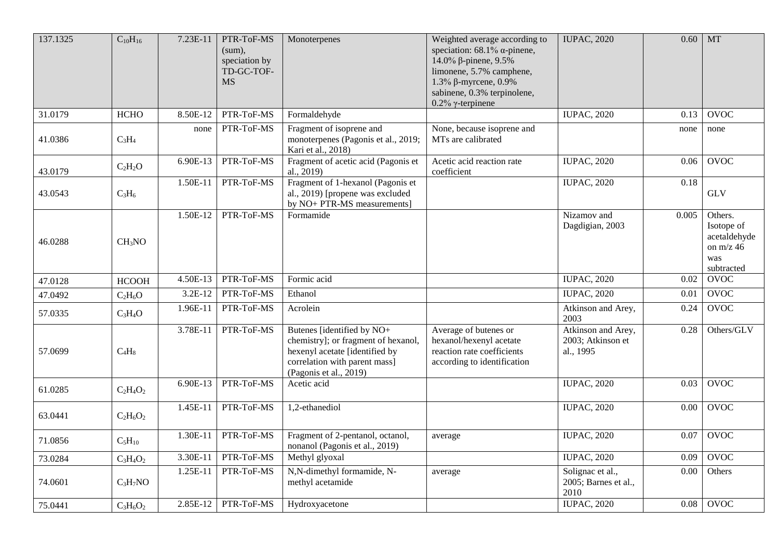| 137.1325 | $C_{10}H_{16}$     | 7.23E-11 | PTR-ToF-MS<br>(sum),<br>speciation by<br>TD-GC-TOF-<br><b>MS</b> | Monoterpenes                                                                                                                                                   | Weighted average according to<br>speciation: $68.1\%$ $\alpha$ -pinene,<br>14.0% β-pinene, 9.5%<br>limonene, 5.7% camphene,<br>1.3% β-myrcene, $0.9%$<br>sabinene, 0.3% terpinolene,<br>$0.2\%$ $\gamma$ -terpinene | <b>IUPAC, 2020</b>                                   | 0.60  | MT                                                                        |
|----------|--------------------|----------|------------------------------------------------------------------|----------------------------------------------------------------------------------------------------------------------------------------------------------------|---------------------------------------------------------------------------------------------------------------------------------------------------------------------------------------------------------------------|------------------------------------------------------|-------|---------------------------------------------------------------------------|
| 31.0179  | <b>HCHO</b>        | 8.50E-12 | PTR-ToF-MS                                                       | Formaldehyde                                                                                                                                                   |                                                                                                                                                                                                                     | <b>IUPAC, 2020</b>                                   | 0.13  | <b>OVOC</b>                                                               |
| 41.0386  | $C_3H_4$           | none     | PTR-ToF-MS                                                       | Fragment of isoprene and<br>monoterpenes (Pagonis et al., 2019;<br>Kari et al., 2018)                                                                          | None, because isoprene and<br>MTs are calibrated                                                                                                                                                                    |                                                      | none  | none                                                                      |
| 43.0179  | $C_2H_2O$          | 6.90E-13 | PTR-ToF-MS                                                       | Fragment of acetic acid (Pagonis et<br>al., 2019)                                                                                                              | Acetic acid reaction rate<br>coefficient                                                                                                                                                                            | <b>IUPAC, 2020</b>                                   | 0.06  | <b>OVOC</b>                                                               |
| 43.0543  | $C_3H_6$           | 1.50E-11 | PTR-ToF-MS                                                       | Fragment of 1-hexanol (Pagonis et<br>al., 2019) [propene was excluded<br>by NO+ PTR-MS measurements]                                                           |                                                                                                                                                                                                                     | <b>IUPAC, 2020</b>                                   | 0.18  | <b>GLV</b>                                                                |
| 46.0288  | CH <sub>3</sub> NO | 1.50E-12 | PTR-ToF-MS                                                       | Formamide                                                                                                                                                      |                                                                                                                                                                                                                     | Nizamov and<br>Dagdigian, 2003                       | 0.005 | Others.<br>Isotope of<br>acetaldehyde<br>on $m/z$ 46<br>was<br>subtracted |
| 47.0128  | <b>HCOOH</b>       | 4.50E-13 | PTR-ToF-MS                                                       | Formic acid                                                                                                                                                    |                                                                                                                                                                                                                     | <b>IUPAC, 2020</b>                                   | 0.02  | <b>OVOC</b>                                                               |
| 47.0492  | $C_2H_6O$          | 3.2E-12  | PTR-ToF-MS                                                       | Ethanol                                                                                                                                                        |                                                                                                                                                                                                                     | <b>IUPAC, 2020</b>                                   | 0.01  | <b>OVOC</b>                                                               |
| 57.0335  | $C_3H_4O$          | 1.96E-11 | PTR-ToF-MS                                                       | Acrolein                                                                                                                                                       |                                                                                                                                                                                                                     | Atkinson and Arey,<br>2003                           | 0.24  | <b>OVOC</b>                                                               |
| 57.0699  | $C_4H_8$           | 3.78E-11 | PTR-ToF-MS                                                       | Butenes [identified by NO+<br>chemistry]; or fragment of hexanol,<br>hexenyl acetate [identified by<br>correlation with parent mass]<br>(Pagonis et al., 2019) | Average of butenes or<br>hexanol/hexenyl acetate<br>reaction rate coefficients<br>according to identification                                                                                                       | Atkinson and Arey,<br>2003; Atkinson et<br>al., 1995 | 0.28  | Others/GLV                                                                |
| 61.0285  | $C_2H_4O_2$        | 6.90E-13 | PTR-ToF-MS                                                       | Acetic acid                                                                                                                                                    |                                                                                                                                                                                                                     | <b>IUPAC, 2020</b>                                   | 0.03  | <b>OVOC</b>                                                               |
| 63.0441  | $C_2H_6O_2$        | 1.45E-11 | PTR-ToF-MS                                                       | 1,2-ethanediol                                                                                                                                                 |                                                                                                                                                                                                                     | <b>IUPAC, 2020</b>                                   | 0.00  | <b>OVOC</b>                                                               |
| 71.0856  | $C_5H_{10}$        | 1.30E-11 | PTR-ToF-MS                                                       | Fragment of 2-pentanol, octanol,<br>nonanol (Pagonis et al., 2019)                                                                                             | average                                                                                                                                                                                                             | <b>IUPAC, 2020</b>                                   | 0.07  | <b>OVOC</b>                                                               |
| 73.0284  | $C_3H_4O_2$        | 3.30E-11 | PTR-ToF-MS                                                       | Methyl glyoxal                                                                                                                                                 |                                                                                                                                                                                                                     | <b>IUPAC, 2020</b>                                   | 0.09  | <b>OVOC</b>                                                               |
| 74.0601  | $C_3H_7NO$         | 1.25E-11 | PTR-ToF-MS                                                       | N,N-dimethyl formamide, N-<br>methyl acetamide                                                                                                                 | average                                                                                                                                                                                                             | Solignac et al.,<br>2005; Barnes et al.,<br>2010     | 0.00  | Others                                                                    |
| 75.0441  | $C_3H_6O_2$        | 2.85E-12 | PTR-ToF-MS                                                       | Hydroxyacetone                                                                                                                                                 |                                                                                                                                                                                                                     | <b>IUPAC, 2020</b>                                   | 0.08  | <b>OVOC</b>                                                               |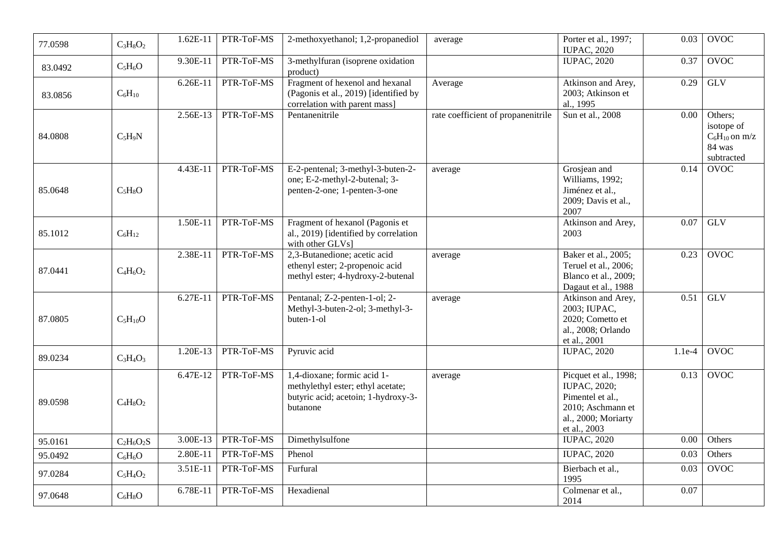| 77.0598 | $C_3H_8O_2$  | $1.62E-11$ | PTR-ToF-MS | 2-methoxyethanol; 1,2-propanediol                                                                                   | average                            | Porter et al., 1997;<br><b>IUPAC, 2020</b>                                                                                   | 0.03     | <b>OVOC</b>                                                         |
|---------|--------------|------------|------------|---------------------------------------------------------------------------------------------------------------------|------------------------------------|------------------------------------------------------------------------------------------------------------------------------|----------|---------------------------------------------------------------------|
| 83.0492 | $C_5H_6O$    | 9.30E-11   | PTR-ToF-MS | 3-methylfuran (isoprene oxidation<br>product)                                                                       |                                    | <b>IUPAC, 2020</b>                                                                                                           | 0.37     | <b>OVOC</b>                                                         |
| 83.0856 | $C_6H_{10}$  | 6.26E-11   | PTR-ToF-MS | Fragment of hexenol and hexanal<br>(Pagonis et al., 2019) [identified by<br>correlation with parent mass]           | Average                            | Atkinson and Arey,<br>2003; Atkinson et<br>al., 1995                                                                         | 0.29     | <b>GLV</b>                                                          |
| 84.0808 | $C_5H_9N$    | 2.56E-13   | PTR-ToF-MS | Pentanenitrile                                                                                                      | rate coefficient of propanenitrile | Sun et al., 2008                                                                                                             | 0.00     | Others;<br>isotope of<br>$C_6H_{10}$ on m/z<br>84 was<br>subtracted |
| 85.0648 | $C_5H_8O$    | 4.43E-11   | PTR-ToF-MS | E-2-pentenal; 3-methyl-3-buten-2-<br>one; E-2-methyl-2-butenal; 3-<br>penten-2-one; 1-penten-3-one                  | average                            | Grosjean and<br>Williams, 1992;<br>Jiménez et al.,<br>2009; Davis et al.,<br>2007                                            | 0.14     | <b>OVOC</b>                                                         |
| 85.1012 | $C_6H_{12}$  | 1.50E-11   | PTR-ToF-MS | Fragment of hexanol (Pagonis et<br>al., 2019) [identified by correlation<br>with other GLVs]                        |                                    | Atkinson and Arey,<br>2003                                                                                                   | 0.07     | GLV                                                                 |
| 87.0441 | $C_4H_6O_2$  | 2.38E-11   | PTR-ToF-MS | 2,3-Butanedione; acetic acid<br>ethenyl ester; 2-propenoic acid<br>methyl ester; 4-hydroxy-2-butenal                | average                            | Baker et al., 2005;<br>Teruel et al., 2006;<br>Blanco et al., 2009;<br>Dagaut et al., 1988                                   | 0.23     | <b>OVOC</b>                                                         |
| 87.0805 | $C_5H_{10}O$ | 6.27E-11   | PTR-ToF-MS | Pentanal; Z-2-penten-1-ol; 2-<br>Methyl-3-buten-2-ol; 3-methyl-3-<br>buten-1-ol                                     | average                            | Atkinson and Arey,<br>2003; IUPAC,<br>2020; Cometto et<br>al., 2008; Orlando<br>et al., 2001                                 | 0.51     | <b>GLV</b>                                                          |
| 89.0234 | $C_3H_4O_3$  | 1.20E-13   | PTR-ToF-MS | Pyruvic acid                                                                                                        |                                    | <b>IUPAC, 2020</b>                                                                                                           | $1.1e-4$ | <b>OVOC</b>                                                         |
| 89.0598 | $C_4H_8O_2$  | 6.47E-12   | PTR-ToF-MS | 1,4-dioxane; formic acid 1-<br>methylethyl ester; ethyl acetate;<br>butyric acid; acetoin; 1-hydroxy-3-<br>butanone | average                            | Picquet et al., 1998;<br><b>IUPAC, 2020;</b><br>Pimentel et al.,<br>2010; Aschmann et<br>al., 2000; Moriarty<br>et al., 2003 | 0.13     | <b>OVOC</b>                                                         |
| 95.0161 | $C_2H_6O_2S$ | 3.00E-13   | PTR-ToF-MS | Dimethylsulfone                                                                                                     |                                    | <b>IUPAC, 2020</b>                                                                                                           | 0.00     | Others                                                              |
| 95.0492 | $C_6H_6O$    | 2.80E-11   | PTR-ToF-MS | Phenol                                                                                                              |                                    | <b>IUPAC, 2020</b>                                                                                                           | 0.03     | Others                                                              |
| 97.0284 | $C_5H_4O_2$  | 3.51E-11   | PTR-ToF-MS | Furfural                                                                                                            |                                    | Bierbach et al.,<br>1995                                                                                                     | 0.03     | <b>OVOC</b>                                                         |
| 97.0648 | $C_6H_8O$    | 6.78E-11   | PTR-ToF-MS | Hexadienal                                                                                                          |                                    | Colmenar et al.,<br>2014                                                                                                     | 0.07     |                                                                     |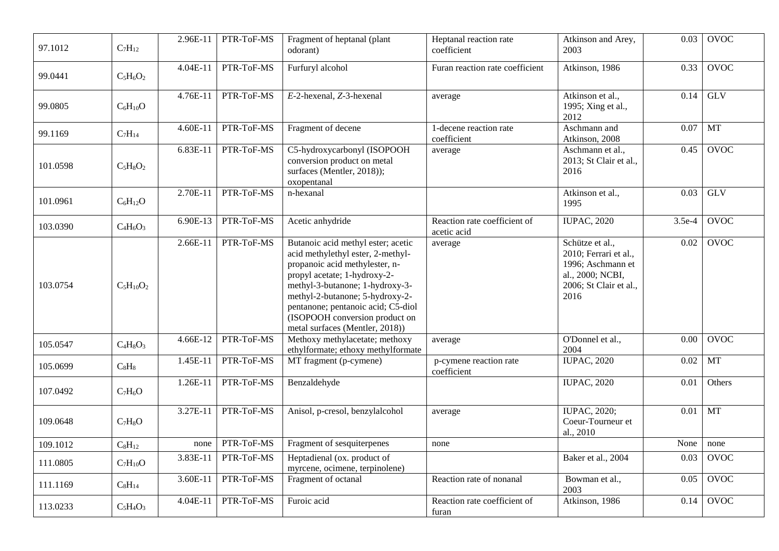| 97.1012  | $C_7H_{12}$       | 2.96E-11   | PTR-ToF-MS | Fragment of heptanal (plant<br>odorant)                                                                                                                                                                                                                                                                                    | Heptanal reaction rate<br>coefficient       | Atkinson and Arey,<br>2003                                                                                          | 0.03     | <b>OVOC</b> |
|----------|-------------------|------------|------------|----------------------------------------------------------------------------------------------------------------------------------------------------------------------------------------------------------------------------------------------------------------------------------------------------------------------------|---------------------------------------------|---------------------------------------------------------------------------------------------------------------------|----------|-------------|
| 99.0441  | $C_5H_6O_2$       | $4.04E-11$ | PTR-ToF-MS | Furfuryl alcohol                                                                                                                                                                                                                                                                                                           | Furan reaction rate coefficient             | Atkinson, 1986                                                                                                      | 0.33     | <b>OVOC</b> |
| 99.0805  | $C_6H_{10}O$      | 4.76E-11   | PTR-ToF-MS | E-2-hexenal, Z-3-hexenal                                                                                                                                                                                                                                                                                                   | average                                     | Atkinson et al.,<br>1995; Xing et al.,<br>2012                                                                      | 0.14     | <b>GLV</b>  |
| 99.1169  | $C_7H_{14}$       | $4.60E-11$ | PTR-ToF-MS | Fragment of decene                                                                                                                                                                                                                                                                                                         | 1-decene reaction rate<br>coefficient       | Aschmann and<br>Atkinson, 2008                                                                                      | 0.07     | MT          |
| 101.0598 | $C_5H_8O_2$       | 6.83E-11   | PTR-ToF-MS | C5-hydroxycarbonyl (ISOPOOH<br>conversion product on metal<br>surfaces (Mentler, 2018));<br>oxopentanal                                                                                                                                                                                                                    | average                                     | Aschmann et al.,<br>2013; St Clair et al.,<br>2016                                                                  | 0.45     | <b>OVOC</b> |
| 101.0961 | $C_6H_{12}O$      | 2.70E-11   | PTR-ToF-MS | n-hexanal                                                                                                                                                                                                                                                                                                                  |                                             | Atkinson et al.,<br>1995                                                                                            | 0.03     | <b>GLV</b>  |
| 103.0390 | $C_4H_6O_3$       | 6.90E-13   | PTR-ToF-MS | Acetic anhydride                                                                                                                                                                                                                                                                                                           | Reaction rate coefficient of<br>acetic acid | <b>IUPAC, 2020</b>                                                                                                  | $3.5e-4$ | <b>OVOC</b> |
| 103.0754 | $C_5H_{10}O_2$    | $2.66E-11$ | PTR-ToF-MS | Butanoic acid methyl ester; acetic<br>acid methylethyl ester, 2-methyl-<br>propanoic acid methylester, n-<br>propyl acetate; 1-hydroxy-2-<br>methyl-3-butanone; 1-hydroxy-3-<br>methyl-2-butanone; 5-hydroxy-2-<br>pentanone; pentanoic acid; C5-diol<br>(ISOPOOH conversion product on<br>metal surfaces (Mentler, 2018)) | average                                     | Schütze et al.,<br>2010; Ferrari et al.,<br>1996; Aschmann et<br>al., 2000; NCBI,<br>2006; St Clair et al.,<br>2016 | 0.02     | <b>OVOC</b> |
| 105.0547 | $C_4H_8O_3$       | 4.66E-12   | PTR-ToF-MS | Methoxy methylacetate; methoxy<br>ethylformate; ethoxy methylformate                                                                                                                                                                                                                                                       | average                                     | O'Donnel et al.,<br>2004                                                                                            | 0.00     | <b>OVOC</b> |
| 105.0699 | $C_8H_8$          | 1.45E-11   | PTR-ToF-MS | MT fragment (p-cymene)                                                                                                                                                                                                                                                                                                     | p-cymene reaction rate<br>coefficient       | <b>IUPAC, 2020</b>                                                                                                  | $0.02\,$ | MT          |
| 107.0492 | $C_7H_6O$         | 1.26E-11   | PTR-ToF-MS | Benzaldehyde                                                                                                                                                                                                                                                                                                               |                                             | <b>IUPAC, 2020</b>                                                                                                  | 0.01     | Others      |
| 109.0648 | $C_7H_8O$         | 3.27E-11   | PTR-ToF-MS | Anisol, p-cresol, benzylalcohol                                                                                                                                                                                                                                                                                            | average                                     | <b>IUPAC, 2020;</b><br>Coeur-Tourneur et<br>al., 2010                                                               | 0.01     | <b>MT</b>   |
| 109.1012 | $C_8H_{12}$       | none       | PTR-ToF-MS | Fragment of sesquiterpenes                                                                                                                                                                                                                                                                                                 | none                                        |                                                                                                                     | None     | none        |
| 111.0805 | $\rm{C_7H_{10}O}$ | 3.83E-11   | PTR-ToF-MS | Heptadienal (ox. product of<br>myrcene, ocimene, terpinolene)                                                                                                                                                                                                                                                              |                                             | Baker et al., 2004                                                                                                  | 0.03     | <b>OVOC</b> |
| 111.1169 | $C_8H_{14}$       | 3.60E-11   | PTR-ToF-MS | Fragment of octanal                                                                                                                                                                                                                                                                                                        | Reaction rate of nonanal                    | Bowman et al.,<br>2003                                                                                              | 0.05     | <b>OVOC</b> |
| 113.0233 | $C_5H_4O_3$       | 4.04E-11   | PTR-ToF-MS | Furoic acid                                                                                                                                                                                                                                                                                                                | Reaction rate coefficient of<br>furan       | Atkinson, 1986                                                                                                      | 0.14     | <b>OVOC</b> |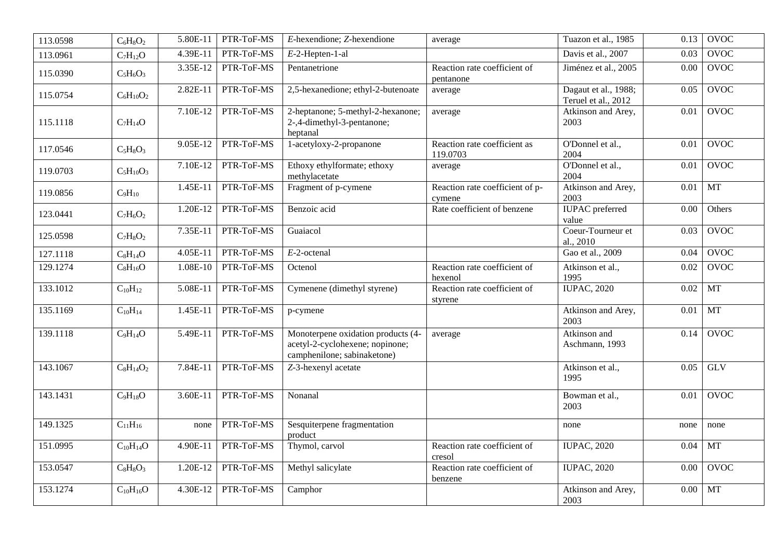| 113.0598 | $C_6H_8O_2$     | 5.80E-11   | PTR-ToF-MS | $E$ -hexendione; $\overline{Z}$ -hexendione                                                          | average                                   | Tuazon et al., 1985                         | 0.13 | <b>OVOC</b> |
|----------|-----------------|------------|------------|------------------------------------------------------------------------------------------------------|-------------------------------------------|---------------------------------------------|------|-------------|
| 113.0961 | $C_7H_{12}O$    | 4.39E-11   | PTR-ToF-MS | $E-2$ -Hepten-1-al                                                                                   |                                           | Davis et al., 2007                          | 0.03 | <b>OVOC</b> |
| 115.0390 | $C_5H_6O_3$     | 3.35E-12   | PTR-ToF-MS | Pentanetrione                                                                                        | Reaction rate coefficient of<br>pentanone | Jiménez et al., 2005                        | 0.00 | <b>OVOC</b> |
| 115.0754 | $C_6H_{10}O_2$  | $2.82E-11$ | PTR-ToF-MS | 2,5-hexanedione; ethyl-2-butenoate                                                                   | average                                   | Dagaut et al., 1988;<br>Teruel et al., 2012 | 0.05 | <b>OVOC</b> |
| 115.1118 | $C_7H_{14}O$    | 7.10E-12   | PTR-ToF-MS | 2-heptanone; 5-methyl-2-hexanone;<br>2-,4-dimethyl-3-pentanone;<br>heptanal                          | average                                   | Atkinson and Arey,<br>2003                  | 0.01 | <b>OVOC</b> |
| 117.0546 | $C_5H_8O_3$     | 9.05E-12   | PTR-ToF-MS | 1-acetyloxy-2-propanone                                                                              | Reaction rate coefficient as<br>119.0703  | O'Donnel et al.,<br>2004                    | 0.01 | <b>OVOC</b> |
| 119.0703 | $C_5H_{10}O_3$  | 7.10E-12   | PTR-ToF-MS | Ethoxy ethylformate; ethoxy<br>methylacetate                                                         | average                                   | O'Donnel et al.,<br>2004                    | 0.01 | <b>OVOC</b> |
| 119.0856 | $C_9H_{10}$     | 1.45E-11   | PTR-ToF-MS | Fragment of p-cymene                                                                                 | Reaction rate coefficient of p-<br>cymene | Atkinson and Arey,<br>2003                  | 0.01 | MT          |
| 123.0441 | $C_7H_6O_2$     | 1.20E-12   | PTR-ToF-MS | Benzoic acid                                                                                         | Rate coefficient of benzene               | <b>IUPAC</b> preferred<br>value             | 0.00 | Others      |
| 125.0598 | $C_7H_8O_2$     | 7.35E-11   | PTR-ToF-MS | Guaiacol                                                                                             |                                           | Coeur-Tourneur et<br>al., 2010              | 0.03 | <b>OVOC</b> |
| 127.1118 | $C_8H_{14}O$    | 4.05E-11   | PTR-ToF-MS | $E$ -2-octenal                                                                                       |                                           | Gao et al., 2009                            | 0.04 | <b>OVOC</b> |
| 129.1274 | $C_8H_{16}O$    | 1.08E-10   | PTR-ToF-MS | Octenol                                                                                              | Reaction rate coefficient of<br>hexenol   | Atkinson et al.,<br>1995                    | 0.02 | <b>OVOC</b> |
| 133.1012 | $C_{10}H_{12}$  | 5.08E-11   | PTR-ToF-MS | Cymenene (dimethyl styrene)                                                                          | Reaction rate coefficient of<br>styrene   | <b>IUPAC, 2020</b>                          | 0.02 | <b>MT</b>   |
| 135.1169 | $C_{10}H_{14}$  | 1.45E-11   | PTR-ToF-MS | p-cymene                                                                                             |                                           | Atkinson and Arey,<br>2003                  | 0.01 | MT          |
| 139.1118 | $C_9H_{14}O$    | 5.49E-11   | PTR-ToF-MS | Monoterpene oxidation products (4-<br>acetyl-2-cyclohexene; nopinone;<br>camphenilone; sabinaketone) | average                                   | Atkinson and<br>Aschmann, 1993              | 0.14 | <b>OVOC</b> |
| 143.1067 | $C_8H_{14}O_2$  | 7.84E-11   | PTR-ToF-MS | Z-3-hexenyl acetate                                                                                  |                                           | Atkinson et al.,<br>1995                    | 0.05 | <b>GLV</b>  |
| 143.1431 | $C_9H_{18}O$    | 3.60E-11   | PTR-ToF-MS | Nonanal                                                                                              |                                           | Bowman et al.,<br>2003                      | 0.01 | <b>OVOC</b> |
| 149.1325 | $C_{11}H_{16}$  | none       | PTR-ToF-MS | Sesquiterpene fragmentation<br>product                                                               |                                           | none                                        | none | none        |
| 151.0995 | $C_{10}H_{14}O$ | 4.90E-11   | PTR-ToF-MS | Thymol, carvol                                                                                       | Reaction rate coefficient of<br>cresol    | <b>IUPAC, 2020</b>                          | 0.04 | MT          |
| 153.0547 | $C_8H_8O_3$     | 1.20E-12   | PTR-ToF-MS | Methyl salicylate                                                                                    | Reaction rate coefficient of<br>benzene   | <b>IUPAC, 2020</b>                          | 0.00 | <b>OVOC</b> |
| 153.1274 | $C_{10}H_{16}O$ | 4.30E-12   | PTR-ToF-MS | Camphor                                                                                              |                                           | Atkinson and Arey,<br>2003                  | 0.00 | <b>MT</b>   |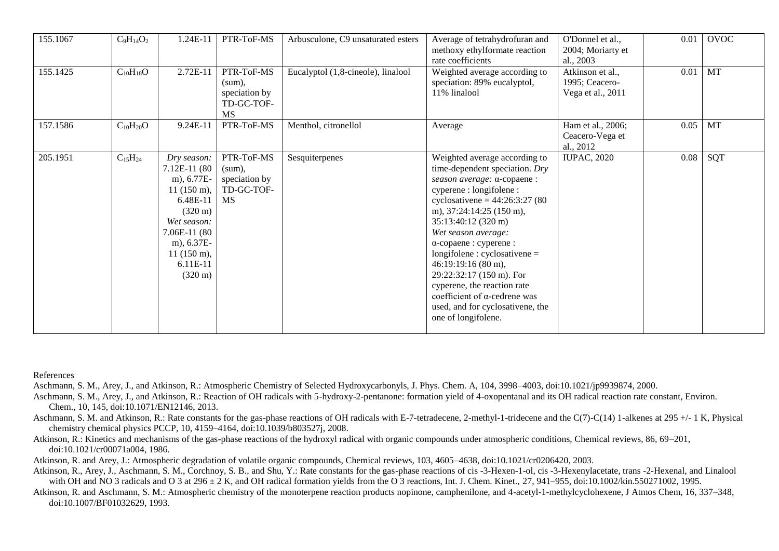| 155.1067 | $C_9H_{14}O_2$  | 1.24E-11                                                                                                                                                                                                 | PTR-ToF-MS                                                          | Arbusculone, C9 unsaturated esters | Average of tetrahydrofuran and<br>methoxy ethylformate reaction<br>rate coefficients                                                                                                                                                                                                                                                                                                                                                                                                      | O'Donnel et al.,<br>2004; Moriarty et<br>al., 2003      | 0.01 | OVOC      |
|----------|-----------------|----------------------------------------------------------------------------------------------------------------------------------------------------------------------------------------------------------|---------------------------------------------------------------------|------------------------------------|-------------------------------------------------------------------------------------------------------------------------------------------------------------------------------------------------------------------------------------------------------------------------------------------------------------------------------------------------------------------------------------------------------------------------------------------------------------------------------------------|---------------------------------------------------------|------|-----------|
| 155.1425 | $C_{10}H_{18}O$ | 2.72E-11                                                                                                                                                                                                 | PTR-ToF-MS<br>(sum),<br>speciation by<br>TD-GC-TOF-<br><b>MS</b>    | Eucalyptol (1,8-cineole), linalool | Weighted average according to<br>speciation: 89% eucalyptol,<br>11% linalool                                                                                                                                                                                                                                                                                                                                                                                                              | Atkinson et al.,<br>1995; Ceacero-<br>Vega et al., 2011 | 0.01 | <b>MT</b> |
| 157.1586 | $C_{10}H_{20}O$ | $9.24E-11$                                                                                                                                                                                               | PTR-ToF-MS                                                          | Menthol, citronellol               | Average                                                                                                                                                                                                                                                                                                                                                                                                                                                                                   | Ham et al., 2006;<br>Ceacero-Vega et<br>al., 2012       | 0.05 | <b>MT</b> |
| 205.1951 | $C_{15}H_{24}$  | Dry season:<br>7.12E-11 (80<br>m), 6.77E-<br>$11(150 \text{ m}),$<br>6.48E-11<br>$(320 \text{ m})$<br>Wet season:<br>7.06E-11 (80<br>m), 6.37E-<br>$11(150 \text{ m}),$<br>6.11E-11<br>$(320 \text{ m})$ | PTR-ToF-MS<br>$(sum)$ ,<br>speciation by<br>TD-GC-TOF-<br><b>MS</b> | Sesquiterpenes                     | Weighted average according to<br>time-dependent speciation. Dry<br>season average: α-copaene :<br>cyperene : longifolene :<br>cyclosativene = $44:26:3:27(80)$<br>m), 37:24:14:25 (150 m),<br>35:13:40:12 (320 m)<br>Wet season average:<br>$\alpha$ -copaene : cyperene :<br>$longifiable: cyclosativene =$<br>46:19:19:16 (80 m),<br>29:22:32:17 (150 m). For<br>cyperene, the reaction rate<br>coefficient of α-cedrene was<br>used, and for cyclosativene, the<br>one of longifolene. | <b>IUPAC, 2020</b>                                      | 0.08 | SQT       |

References

Aschmann, S. M., Arey, J., and Atkinson, R.: Atmospheric Chemistry of Selected Hydroxycarbonyls, J. Phys. Chem. A, 104, 3998–4003, doi:10.1021/jp9939874, 2000.

- Aschmann, S. M., Arey, J., and Atkinson, R.: Reaction of OH radicals with 5-hydroxy-2-pentanone: formation yield of 4-oxopentanal and its OH radical reaction rate constant, Environ. Chem., 10, 145, doi:10.1071/EN12146, 2013.
- Aschmann, S. M. and Atkinson, R.: Rate constants for the gas-phase reactions of OH radicals with E-7-tetradecene, 2-methyl-1-tridecene and the C(7)-C(14) 1-alkenes at 295 +/- 1 K, Physical chemistry chemical physics PCCP, 10, 4159–4164, doi:10.1039/b803527j, 2008.
- Atkinson, R.: Kinetics and mechanisms of the gas-phase reactions of the hydroxyl radical with organic compounds under atmospheric conditions, Chemical reviews, 86, 69–201, doi:10.1021/cr00071a004, 1986.
- Atkinson, R. and Arey, J.: Atmospheric degradation of volatile organic compounds, Chemical reviews, 103, 4605–4638, doi:10.1021/cr0206420, 2003.
- Atkinson, R., Arey, J., Aschmann, S. M., Corchnoy, S. B., and Shu, Y.: Rate constants for the gas-phase reactions of cis -3-Hexen-1-ol, cis -3-Hexenylacetate, trans -2-Hexenal, and Linalool with OH and NO 3 radicals and O 3 at 296 ± 2 K, and OH radical formation yields from the O 3 reactions, Int. J. Chem. Kinet., 27, 941–955, doi:10.1002/kin.550271002, 1995.
- Atkinson, R. and Aschmann, S. M.: Atmospheric chemistry of the monoterpene reaction products nopinone, camphenilone, and 4-acetyl-1-methylcyclohexene, J Atmos Chem, 16, 337–348, doi:10.1007/BF01032629, 1993.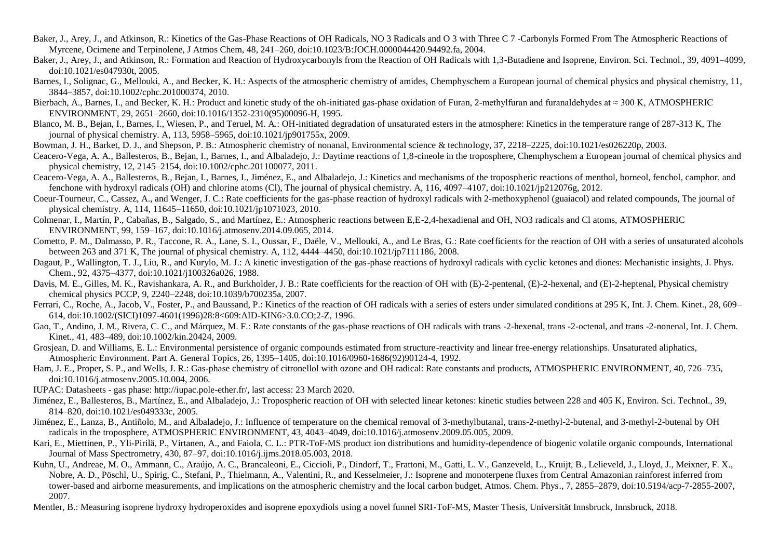- Baker, J., Arey, J., and Atkinson, R.: Kinetics of the Gas-Phase Reactions of OH Radicals, NO 3 Radicals and O 3 with Three C 7 -Carbonyls Formed From The Atmospheric Reactions of Myrcene, Ocimene and Terpinolene, J Atmos Chem, 48, 241–260, doi:10.1023/B:JOCH.0000044420.94492.fa, 2004.
- Baker, J., Arey, J., and Atkinson, R.: Formation and Reaction of Hydroxycarbonyls from the Reaction of OH Radicals with 1,3-Butadiene and Isoprene, Environ. Sci. Technol., 39, 4091–4099, doi:10.1021/es047930t, 2005.
- Barnes, I., Solignac, G., Mellouki, A., and Becker, K. H.: Aspects of the atmospheric chemistry of amides, Chemphyschem a European journal of chemical physics and physical chemistry, 11, 3844–3857, doi:10.1002/cphc.201000374, 2010.
- Bierbach, A., Barnes, I., and Becker, K. H.: Product and kinetic study of the oh-initiated gas-phase oxidation of Furan, 2-methylfuran and furanaldehydes at  $\approx 300$  K, ATMOSPHERIC ENVIRONMENT, 29, 2651–2660, doi:10.1016/1352-2310(95)00096-H, 1995.
- Blanco, M. B., Bejan, I., Barnes, I., Wiesen, P., and Teruel, M. A.: OH-initiated degradation of unsaturated esters in the atmosphere: Kinetics in the temperature range of 287-313 K. The journal of physical chemistry. A, 113, 5958–5965, doi:10.1021/jp901755x, 2009.
- Bowman, J. H., Barket, D. J., and Shepson, P. B.: Atmospheric chemistry of nonanal, Environmental science & technology, 37, 2218–2225, doi:10.1021/es026220p, 2003.
- Ceacero-Vega, A. A., Ballesteros, B., Bejan, I., Barnes, I., and Albaladejo, J.: Daytime reactions of 1,8-cineole in the troposphere, Chemphyschem a European journal of chemical physics and physical chemistry, 12, 2145–2154, doi:10.1002/cphc.201100077, 2011.
- Ceacero-Vega, A. A., Ballesteros, B., Bejan, I., Barnes, I., Jiménez, E., and Albaladejo, J.: Kinetics and mechanisms of the tropospheric reactions of menthol, borneol, fenchol, camphor, and fenchone with hydroxyl radicals (OH) and chlorine atoms (Cl), The journal of physical chemistry. A, 116, 4097–4107, doi:10.1021/jp212076g, 2012.
- Coeur-Tourneur, C., Cassez, A., and Wenger, J. C.: Rate coefficients for the gas-phase reaction of hydroxyl radicals with 2-methoxyphenol (guaiacol) and related compounds, The journal of physical chemistry. A, 114, 11645–11650, doi:10.1021/jp1071023, 2010.
- Colmenar, I., Martín, P., Cabañas, B., Salgado, S., and Martínez, E.: Atmospheric reactions between E,E-2,4-hexadienal and OH, NO3 radicals and Cl atoms, ATMOSPHERIC ENVIRONMENT, 99, 159–167, doi:10.1016/j.atmosenv.2014.09.065, 2014.
- Cometto, P. M., Dalmasso, P. R., Taccone, R. A., Lane, S. I., Oussar, F., Daële, V., Mellouki, A., and Le Bras, G.: Rate coefficients for the reaction of OH with a series of unsaturated alcohols between 263 and 371 K, The journal of physical chemistry. A, 112, 4444–4450, doi:10.1021/jp7111186, 2008.
- Dagaut, P., Wallington, T. J., Liu, R., and Kurylo, M. J.: A kinetic investigation of the gas-phase reactions of hydroxyl radicals with cyclic ketones and diones: Mechanistic insights, J. Phys. Chem., 92, 4375–4377, doi:10.1021/j100326a026, 1988.
- Davis, M. E., Gilles, M. K., Ravishankara, A. R., and Burkholder, J. B.: Rate coefficients for the reaction of OH with (E)-2-pentenal, (E)-2-hexenal, and (E)-2-heptenal, Physical chemistry chemical physics PCCP, 9, 2240–2248, doi:10.1039/b700235a, 2007.
- Ferrari, C., Roche, A., Jacob, V., Foster, P., and Baussand, P.: Kinetics of the reaction of OH radicals with a series of esters under simulated conditions at 295 K, Int. J. Chem. Kinet., 28, 609– 614, doi:10.1002/(SICI)1097-4601(1996)28:8<609:AID-KIN6>3.0.CO;2-Z, 1996.
- Gao, T., Andino, J. M., Rivera, C. C., and Márquez, M. F.: Rate constants of the gas-phase reactions of OH radicals with trans -2-hexenal, trans -2-octenal, and trans -2-nonenal, Int. J. Chem. Kinet., 41, 483–489, doi:10.1002/kin.20424, 2009.
- Grosjean, D. and Williams, E. L.: Environmental persistence of organic compounds estimated from structure-reactivity and linear free-energy relationships. Unsaturated aliphatics, Atmospheric Environment. Part A. General Topics, 26, 1395–1405, doi:10.1016/0960-1686(92)90124-4, 1992.
- Ham, J. E., Proper, S. P., and Wells, J. R.: Gas-phase chemistry of citronellol with ozone and OH radical: Rate constants and products, ATMOSPHERIC ENVIRONMENT, 40, 726–735, doi:10.1016/j.atmosenv.2005.10.004, 2006.
- IUPAC: Datasheets gas phase: http://iupac.pole-ether.fr/, last access: 23 March 2020.
- Jiménez, E., Ballesteros, B., Martínez, E., and Albaladejo, J.: Tropospheric reaction of OH with selected linear ketones: kinetic studies between 228 and 405 K, Environ. Sci. Technol., 39, 814–820, doi:10.1021/es049333c, 2005.
- Jiménez, E., Lanza, B., Antiñolo, M., and Albaladejo, J.: Influence of temperature on the chemical removal of 3-methylbutanal, trans-2-methyl-2-butenal, and 3-methyl-2-butenal by OH radicals in the troposphere, ATMOSPHERIC ENVIRONMENT, 43, 4043–4049, doi:10.1016/j.atmosenv.2009.05.005, 2009.
- Kari, E., Miettinen, P., Yli-Pirilä, P., Virtanen, A., and Faiola, C. L.: PTR-ToF-MS product ion distributions and humidity-dependence of biogenic volatile organic compounds, International Journal of Mass Spectrometry, 430, 87–97, doi:10.1016/j.ijms.2018.05.003, 2018.
- Kuhn, U., Andreae, M. O., Ammann, C., Araújo, A. C., Brancaleoni, E., Ciccioli, P., Dindorf, T., Frattoni, M., Gatti, L. V., Ganzeveld, L., Kruijt, B., Lelieveld, J., Lloyd, J., Meixner, F. X., Nobre, A. D., Pöschl, U., Spirig, C., Stefani, P., Thielmann, A., Valentini, R., and Kesselmeier, J.: Isoprene and monoterpene fluxes from Central Amazonian rainforest inferred from tower-based and airborne measurements, and implications on the atmospheric chemistry and the local carbon budget, Atmos. Chem. Phys., 7, 2855–2879, doi:10.5194/acp-7-2855-2007, 2007.
- Mentler, B.: Measuring isoprene hydroxy hydroperoxides and isoprene epoxydiols using a novel funnel SRI-ToF-MS, Master Thesis, Universität Innsbruck, Innsbruck, 2018.